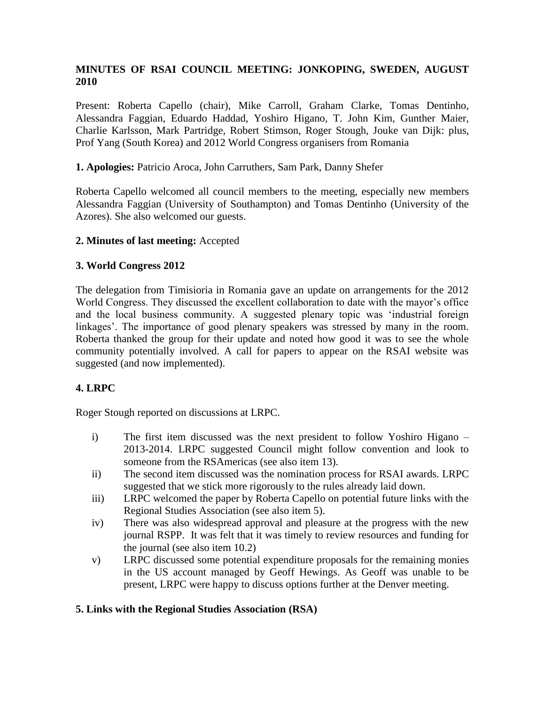# **MINUTES OF RSAI COUNCIL MEETING: JONKOPING, SWEDEN, AUGUST 2010**

Present: Roberta Capello (chair), Mike Carroll, Graham Clarke, Tomas Dentinho, Alessandra Faggian, Eduardo Haddad, Yoshiro Higano, T. John Kim, Gunther Maier, Charlie Karlsson, Mark Partridge, Robert Stimson, Roger Stough, Jouke van Dijk: plus, Prof Yang (South Korea) and 2012 World Congress organisers from Romania

## **1. Apologies:** Patricio Aroca, John Carruthers, Sam Park, Danny Shefer

Roberta Capello welcomed all council members to the meeting, especially new members Alessandra Faggian (University of Southampton) and Tomas Dentinho (University of the Azores). She also welcomed our guests.

#### **2. Minutes of last meeting:** Accepted

### **3. World Congress 2012**

The delegation from Timisioria in Romania gave an update on arrangements for the 2012 World Congress. They discussed the excellent collaboration to date with the mayor's office and the local business community. A suggested plenary topic was 'industrial foreign linkages'. The importance of good plenary speakers was stressed by many in the room. Roberta thanked the group for their update and noted how good it was to see the whole community potentially involved. A call for papers to appear on the RSAI website was suggested (and now implemented).

## **4. LRPC**

Roger Stough reported on discussions at LRPC.

- i) The first item discussed was the next president to follow Yoshiro Higano 2013-2014. LRPC suggested Council might follow convention and look to someone from the RSAmericas (see also item 13).
- ii) The second item discussed was the nomination process for RSAI awards. LRPC suggested that we stick more rigorously to the rules already laid down.
- iii) LRPC welcomed the paper by Roberta Capello on potential future links with the Regional Studies Association (see also item 5).
- iv) There was also widespread approval and pleasure at the progress with the new journal RSPP. It was felt that it was timely to review resources and funding for the journal (see also item 10.2)
- v) LRPC discussed some potential expenditure proposals for the remaining monies in the US account managed by Geoff Hewings. As Geoff was unable to be present, LRPC were happy to discuss options further at the Denver meeting.

## **5. Links with the Regional Studies Association (RSA)**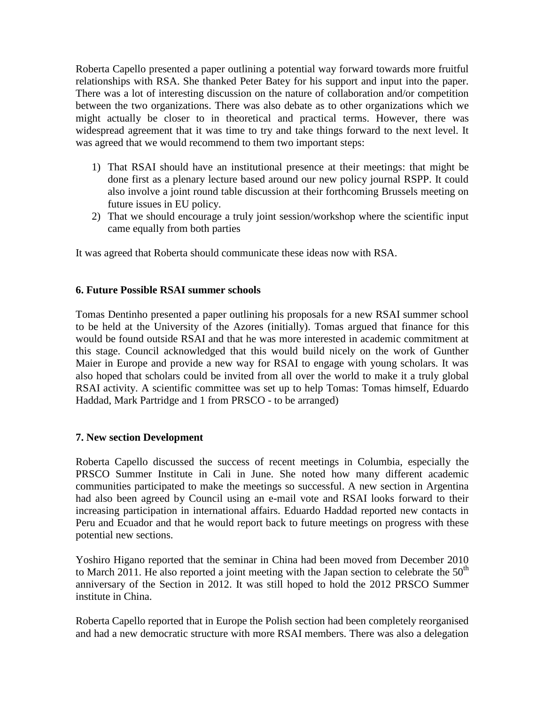Roberta Capello presented a paper outlining a potential way forward towards more fruitful relationships with RSA. She thanked Peter Batey for his support and input into the paper. There was a lot of interesting discussion on the nature of collaboration and/or competition between the two organizations. There was also debate as to other organizations which we might actually be closer to in theoretical and practical terms. However, there was widespread agreement that it was time to try and take things forward to the next level. It was agreed that we would recommend to them two important steps:

- 1) That RSAI should have an institutional presence at their meetings: that might be done first as a plenary lecture based around our new policy journal RSPP. It could also involve a joint round table discussion at their forthcoming Brussels meeting on future issues in EU policy.
- 2) That we should encourage a truly joint session/workshop where the scientific input came equally from both parties

It was agreed that Roberta should communicate these ideas now with RSA.

### **6. Future Possible RSAI summer schools**

Tomas Dentinho presented a paper outlining his proposals for a new RSAI summer school to be held at the University of the Azores (initially). Tomas argued that finance for this would be found outside RSAI and that he was more interested in academic commitment at this stage. Council acknowledged that this would build nicely on the work of Gunther Maier in Europe and provide a new way for RSAI to engage with young scholars. It was also hoped that scholars could be invited from all over the world to make it a truly global RSAI activity. A scientific committee was set up to help Tomas: Tomas himself, Eduardo Haddad, Mark Partridge and 1 from PRSCO - to be arranged)

#### **7. New section Development**

Roberta Capello discussed the success of recent meetings in Columbia, especially the PRSCO Summer Institute in Cali in June. She noted how many different academic communities participated to make the meetings so successful. A new section in Argentina had also been agreed by Council using an e-mail vote and RSAI looks forward to their increasing participation in international affairs. Eduardo Haddad reported new contacts in Peru and Ecuador and that he would report back to future meetings on progress with these potential new sections.

Yoshiro Higano reported that the seminar in China had been moved from December 2010 to March 2011. He also reported a joint meeting with the Japan section to celebrate the  $50<sup>th</sup>$ anniversary of the Section in 2012. It was still hoped to hold the 2012 PRSCO Summer institute in China.

Roberta Capello reported that in Europe the Polish section had been completely reorganised and had a new democratic structure with more RSAI members. There was also a delegation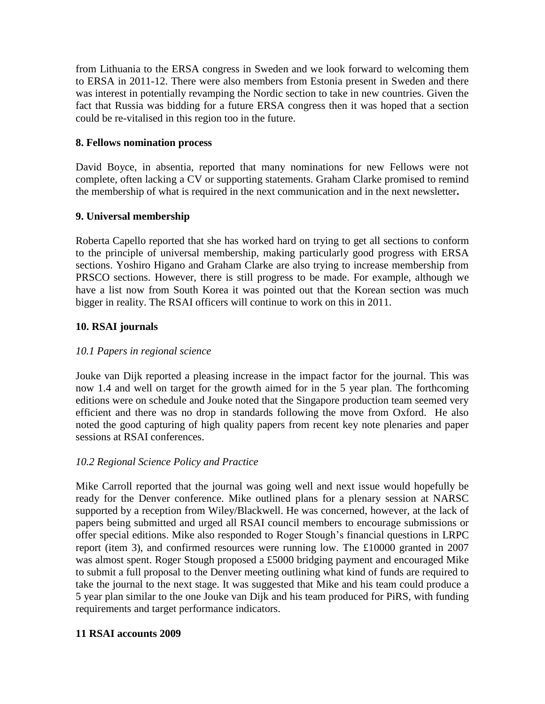from Lithuania to the ERSA congress in Sweden and we look forward to welcoming them to ERSA in 2011-12. There were also members from Estonia present in Sweden and there was interest in potentially revamping the Nordic section to take in new countries. Given the fact that Russia was bidding for a future ERSA congress then it was hoped that a section could be re-vitalised in this region too in the future.

## **8. Fellows nomination process**

David Boyce, in absentia, reported that many nominations for new Fellows were not complete, often lacking a CV or supporting statements. Graham Clarke promised to remind the membership of what is required in the next communication and in the next newsletter**.**

### **9. Universal membership**

Roberta Capello reported that she has worked hard on trying to get all sections to conform to the principle of universal membership, making particularly good progress with ERSA sections. Yoshiro Higano and Graham Clarke are also trying to increase membership from PRSCO sections. However, there is still progress to be made. For example, although we have a list now from South Korea it was pointed out that the Korean section was much bigger in reality. The RSAI officers will continue to work on this in 2011.

## **10. RSAI journals**

## *10.1 Papers in regional science*

Jouke van Dijk reported a pleasing increase in the impact factor for the journal. This was now 1.4 and well on target for the growth aimed for in the 5 year plan. The forthcoming editions were on schedule and Jouke noted that the Singapore production team seemed very efficient and there was no drop in standards following the move from Oxford. He also noted the good capturing of high quality papers from recent key note plenaries and paper sessions at RSAI conferences.

## *10.2 Regional Science Policy and Practice*

Mike Carroll reported that the journal was going well and next issue would hopefully be ready for the Denver conference. Mike outlined plans for a plenary session at NARSC supported by a reception from Wiley/Blackwell. He was concerned, however, at the lack of papers being submitted and urged all RSAI council members to encourage submissions or offer special editions. Mike also responded to Roger Stough's financial questions in LRPC report (item 3), and confirmed resources were running low. The £10000 granted in 2007 was almost spent. Roger Stough proposed a £5000 bridging payment and encouraged Mike to submit a full proposal to the Denver meeting outlining what kind of funds are required to take the journal to the next stage. It was suggested that Mike and his team could produce a 5 year plan similar to the one Jouke van Dijk and his team produced for PiRS, with funding requirements and target performance indicators.

## **11 RSAI accounts 2009**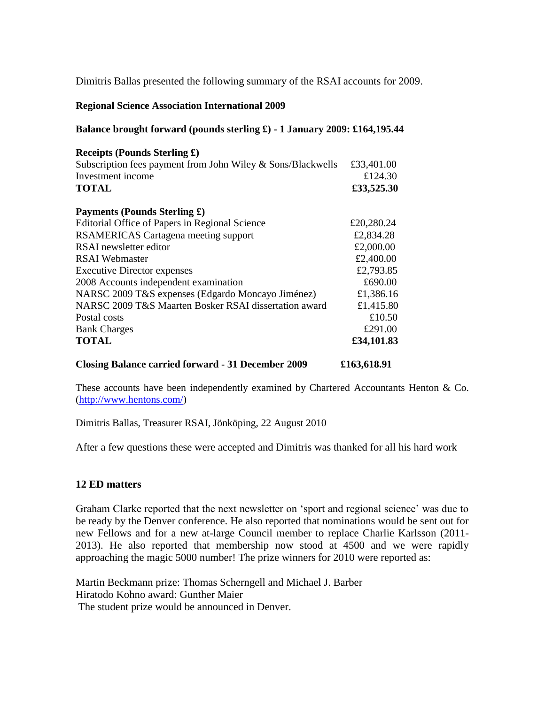Dimitris Ballas presented the following summary of the RSAI accounts for 2009.

#### **Regional Science Association International 2009**

#### **Balance brought forward (pounds sterling £) - 1 January 2009: £164,195.44**

| Receipts (Pounds Sterling £)<br>Subscription fees payment from John Wiley & Sons/Blackwells<br>Investment income<br><b>TOTAL</b> | £33,401.00<br>£124.30<br>£33,525.30 |
|----------------------------------------------------------------------------------------------------------------------------------|-------------------------------------|
| <b>Payments (Pounds Sterling £)</b>                                                                                              |                                     |
| Editorial Office of Papers in Regional Science                                                                                   | £20,280.24                          |
| <b>RSAMERICAS Cartagena meeting support</b>                                                                                      | £2,834.28                           |
| RSAI newsletter editor                                                                                                           | £2,000.00                           |
| <b>RSAI</b> Webmaster                                                                                                            | £2,400.00                           |
| <b>Executive Director expenses</b>                                                                                               | £2,793.85                           |
| 2008 Accounts independent examination                                                                                            | £690.00                             |
| NARSC 2009 T&S expenses (Edgardo Moncayo Jiménez)                                                                                | £1,386.16                           |
| NARSC 2009 T&S Maarten Bosker RSAI dissertation award                                                                            | £1,415.80                           |
| Postal costs                                                                                                                     | £10.50                              |
| <b>Bank Charges</b>                                                                                                              | £291.00                             |
| <b>TOTAL</b>                                                                                                                     | £34,101.83                          |

**Closing Balance carried forward - 31 December 2009 £163,618.91**

These accounts have been independently examined by Chartered Accountants Henton & Co. [\(http://www.hentons.com/\)](http://www.hentons.com/)

Dimitris Ballas, Treasurer RSAI, Jönköping, 22 August 2010

After a few questions these were accepted and Dimitris was thanked for all his hard work

#### **12 ED matters**

Graham Clarke reported that the next newsletter on 'sport and regional science' was due to be ready by the Denver conference. He also reported that nominations would be sent out for new Fellows and for a new at-large Council member to replace Charlie Karlsson (2011- 2013). He also reported that membership now stood at 4500 and we were rapidly approaching the magic 5000 number! The prize winners for 2010 were reported as:

Martin Beckmann prize: Thomas Scherngell and Michael J. Barber Hiratodo Kohno award: Gunther Maier The student prize would be announced in Denver.